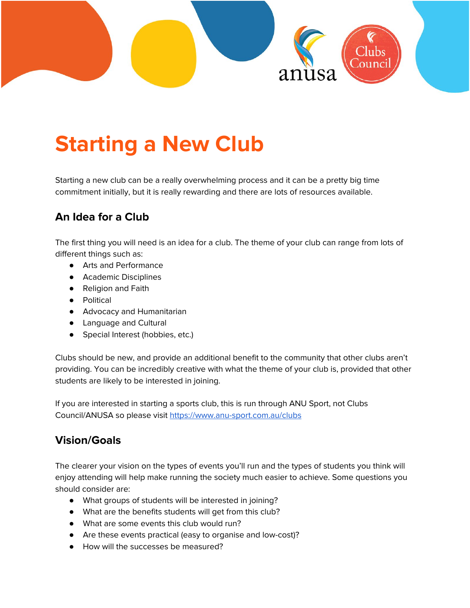

# **Starting a New Club**

Starting a new club can be a really overwhelming process and it can be a pretty big time commitment initially, but it is really rewarding and there are lots of resources available.

## **An Idea for a Club**

The first thing you will need is an idea for a club. The theme of your club can range from lots of different things such as:

- Arts and Performance
- Academic Disciplines
- Religion and Faith
- Political
- Advocacy and Humanitarian
- Language and Cultural
- Special Interest (hobbies, etc.)

Clubs should be new, and provide an additional benefit to the community that other clubs aren't providing. You can be incredibly creative with what the theme of your club is, provided that other students are likely to be interested in joining.

If you are interested in starting a sports club, this is run through ANU Sport, not Clubs Council/ANUSA so please visit <https://www.anu-sport.com.au/clubs>

#### **Vision/Goals**

The clearer your vision on the types of events you'll run and the types of students you think will enjoy attending will help make running the society much easier to achieve. Some questions you should consider are:

- What groups of students will be interested in joining?
- What are the benefits students will get from this club?
- What are some events this club would run?
- Are these events practical (easy to organise and low-cost)?
- How will the successes be measured?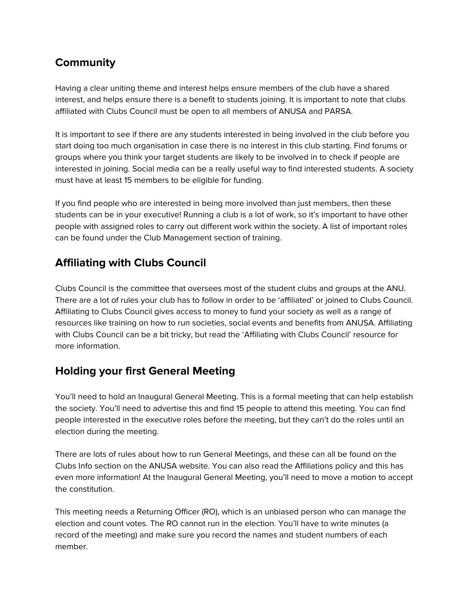# **Community**

Having a clear uniting theme and interest helps ensure members of the club have a shared interest, and helps ensure there is a benefit to students joining. It is important to note that clubs affiliated with Clubs Council must be open to all members of ANUSA and PARSA.

It is important to see if there are any students interested in being involved in the club before you start doing too much organisation in case there is no interest in this club starting. Find forums or groups where you think your target students are likely to be involved in to check if people are interested in joining. Social media can be a really useful way to find interested students. A society must have at least 15 members to be eligible for funding.

If you find people who are interested in being more involved than just members, then these students can be in your executive! Running a club is a lot of work, so it's important to have other people with assigned roles to carry out different work within the society. A list of important roles can be found under the Club Management section of training.

# **Affiliating with Clubs Council**

Clubs Council is the committee that oversees most of the student clubs and groups at the ANU. There are a lot of rules your club has to follow in order to be 'affiliated' or joined to Clubs Council. Affiliating to Clubs Council gives access to money to fund your society as well as a range of resources like training on how to run societies, social events and benefits from ANUSA. Affiliating with Clubs Council can be a bit tricky, but read the 'Affiliating with Clubs Council' resource for more information.

## **Holding your first General Meeting**

You'll need to hold an Inaugural General Meeting. This is a formal meeting that can help establish the society. You'll need to advertise this and find 15 people to attend this meeting. You can find people interested in the executive roles before the meeting, but they can't do the roles until an election during the meeting.

There are lots of rules about how to run General Meetings, and these can all be found on the Clubs Info section on the ANUSA website. You can also read the Affiliations policy and this has even more information! At the Inaugural General Meeting, you'll need to move a motion to accept the constitution.

This meeting needs a Returning Officer (RO), which is an unbiased person who can manage the election and count votes. The RO cannot run in the election. You'll have to write minutes (a record of the meeting) and make sure you record the names and student numbers of each member.